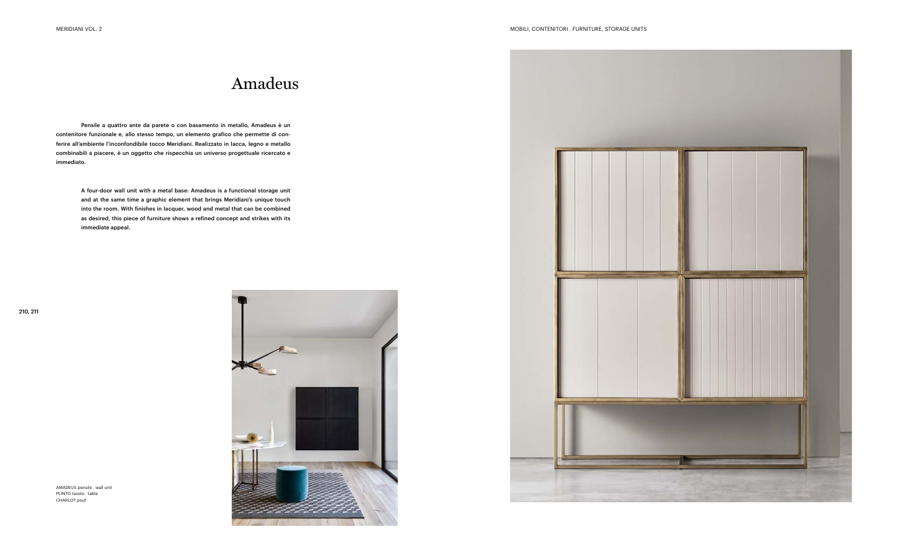Pensile a quattro ante da parete o con basamento in metallo, Amadeus è un contenitore funzionale e, allo stesso tempo, un elemento grafico che permette di conferire all'ambiente l'inconfondibile tocco Meridiani. Realizzato in lacca, legno e metallo combinabili a piacere, è un oggetto che rispecchia un universo progettuale ricercato e immediato.

> A four-door wall unit with a metal base: Amadeus is a functional storage unit and at the same time a graphic element that brings Meridiani's unique touch into the room. With finishes in lacquer, wood and metal that can be combined as desired, this piece of furniture shows a refined concept and strikes with its immediate appeal.

# Amadeus